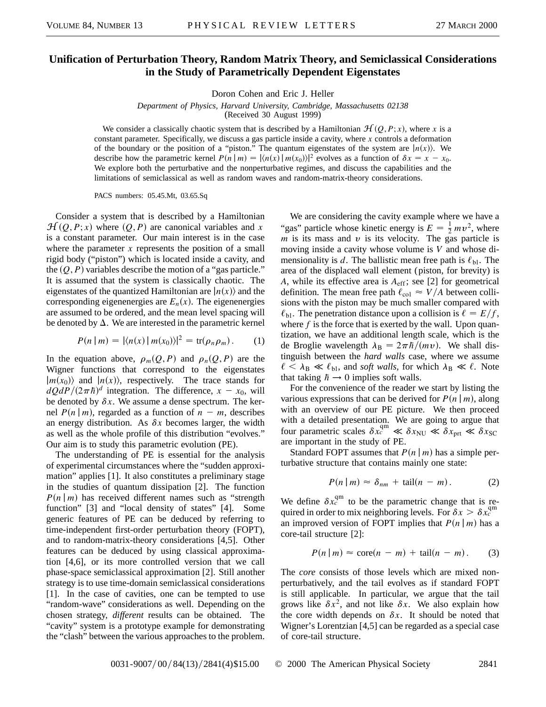## **Unification of Perturbation Theory, Random Matrix Theory, and Semiclassical Considerations in the Study of Parametrically Dependent Eigenstates**

Doron Cohen and Eric J. Heller

*Department of Physics, Harvard University, Cambridge, Massachusetts 02138*

(Received 30 August 1999)

We consider a classically chaotic system that is described by a Hamiltonian  $\mathcal{H}(Q, P; x)$ , where *x* is a constant parameter. Specifically, we discuss a gas particle inside a cavity, where *x* controls a deformation of the boundary or the position of a "piston." The quantum eigenstates of the system are  $|n(x)\rangle$ . We describe how the parametric kernel  $P(n | m) = |\langle n(x) | m(x_0) \rangle|^2$  evolves as a function of  $\delta x = x - x_0$ . We explore both the perturbative and the nonperturbative regimes, and discuss the capabilities and the limitations of semiclassical as well as random waves and random-matrix-theory considerations.

PACS numbers: 05.45.Mt, 03.65.Sq

Consider a system that is described by a Hamiltonian  $\mathcal{H}(Q, P; x)$  where  $(Q, P)$  are canonical variables and x is a constant parameter. Our main interest is in the case where the parameter *x* represents the position of a small rigid body ("piston") which is located inside a cavity, and the  $(Q, P)$  variables describe the motion of a "gas particle." It is assumed that the system is classically chaotic. The eigenstates of the quantized Hamiltonian are  $|n(x)\rangle$  and the corresponding eigenenergies are  $E_n(x)$ . The eigenenergies are assumed to be ordered, and the mean level spacing will be denoted by  $\Delta$ . We are interested in the parametric kernel

$$
P(n \mid m) = |\langle n(x) | m(x_0) \rangle|^2 = \text{tr}(\rho_n \rho_m). \qquad (1)
$$

In the equation above,  $\rho_m(Q, P)$  and  $\rho_n(Q, P)$  are the Wigner functions that correspond to the eigenstates  $|m(x_0)\rangle$  and  $|n(x)\rangle$ , respectively. The trace stands for  $dQdP/(2\pi\hbar)^d$  integration. The difference,  $x - x_0$ , will be denoted by  $\delta x$ . We assume a dense spectrum. The kernel  $P(n | m)$ , regarded as a function of  $n - m$ , describes an energy distribution. As  $\delta x$  becomes larger, the width as well as the whole profile of this distribution "evolves." Our aim is to study this parametric evolution (PE).

The understanding of PE is essential for the analysis of experimental circumstances where the "sudden approximation" applies [1]. It also constitutes a preliminary stage in the studies of quantum dissipation [2]. The function  $P(n | m)$  has received different names such as "strength function" [3] and "local density of states" [4]. Some generic features of PE can be deduced by referring to time-independent first-order perturbation theory (FOPT), and to random-matrix-theory considerations [4,5]. Other features can be deduced by using classical approximation [4,6], or its more controlled version that we call phase-space semiclassical approximation [2]. Still another strategy is to use time-domain semiclassical considerations [1]. In the case of cavities, one can be tempted to use "random-wave" considerations as well. Depending on the chosen strategy, *different* results can be obtained. The "cavity" system is a prototype example for demonstrating the "clash" between the various approaches to the problem.

We are considering the cavity example where we have a "gas" particle whose kinetic energy is  $E = \frac{1}{2}mv^2$ , where  $m$  is its mass and  $v$  is its velocity. The gas particle is moving inside a cavity whose volume is *V* and whose dimensionality is *d*. The ballistic mean free path is  $\ell_{\text{bl}}$ . The area of the displaced wall element (piston, for brevity) is *A*, while its effective area is  $A_{\text{eff}}$ ; see [2] for geometrical definition. The mean free path  $\ell_{\text{col}} \approx V/A$  between collisions with the piston may be much smaller compared with  $\ell_{\text{bl}}$ . The penetration distance upon a collision is  $\ell = E/f$ , where  $f$  is the force that is exerted by the wall. Upon quantization, we have an additional length scale, which is the de Broglie wavelength  $\lambda_B = 2\pi \hbar/(mv)$ . We shall distinguish between the *hard walls* case, where we assume  $\ell < \lambda_B \ll \ell_{b1}$ , and *soft walls*, for which  $\lambda_B \ll \ell$ . Note that taking  $\hbar \rightarrow 0$  implies soft walls.

For the convenience of the reader we start by listing the various expressions that can be derived for  $P(n | m)$ , along with an overview of our PE picture. We then proceed with a detailed presentation. We are going to argue that four parametric scales  $\delta x_c^{\text{qm}} \ll \delta x_{\text{NU}} \ll \delta x_{\text{prt}} \ll \delta x_{\text{SC}}$ are important in the study of PE.

Standard FOPT assumes that  $P(n | m)$  has a simple perturbative structure that contains mainly one state:

$$
P(n \mid m) \approx \delta_{nm} + \tan(n - m). \tag{2}
$$

We define  $\delta x_c^{\text{qm}}$  to be the parametric change that is required in order to mix neighboring levels. For  $\delta x > \delta x_c^{\text{qm}}$ an improved version of FOPT implies that  $P(n|m)$  has a core-tail structure [2]:

$$
P(n|m) \approx \text{core}(n-m) + \text{tail}(n-m). \tag{3}
$$

The *core* consists of those levels which are mixed nonperturbatively, and the tail evolves as if standard FOPT is still applicable. In particular, we argue that the tail grows like  $\delta x^2$ , and not like  $\delta x$ . We also explain how the core width depends on  $\delta x$ . It should be noted that Wigner's Lorentzian [4,5] can be regarded as a special case of core-tail structure.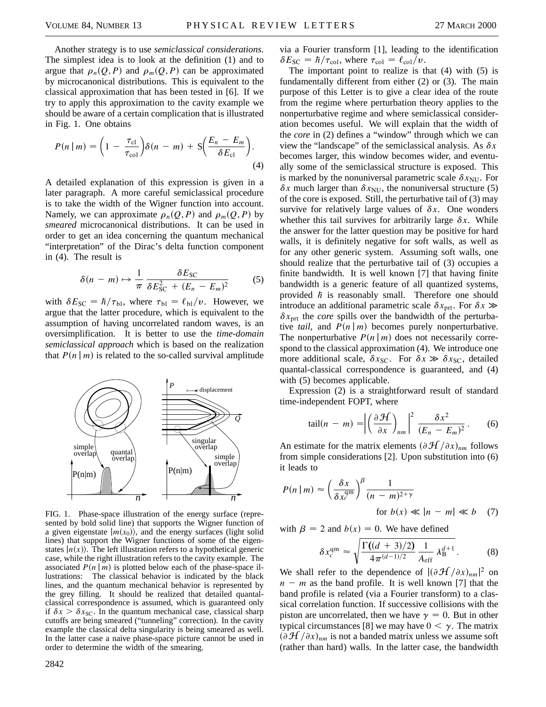Another strategy is to use *semiclassical considerations*. The simplest idea is to look at the definition (1) and to argue that  $\rho_n(Q, P)$  and  $\rho_m(Q, P)$  can be approximated by microcanonical distributions. This is equivalent to the classical approximation that has been tested in [6]. If we try to apply this approximation to the cavity example we should be aware of a certain complication that is illustrated in Fig. 1. One obtains

$$
P(n \mid m) = \left(1 - \frac{\tau_{\text{cl}}}{\tau_{\text{col}}}\right) \delta(n - m) + S\left(\frac{E_n - E_m}{\delta E_{\text{cl}}}\right). \tag{4}
$$

A detailed explanation of this expression is given in a later paragraph. A more careful semiclassical procedure is to take the width of the Wigner function into account. Namely, we can approximate  $\rho_n(Q, P)$  and  $\rho_m(Q, P)$  by *smeared* microcanonical distributions. It can be used in order to get an idea concerning the quantum mechanical "interpretation" of the Dirac's delta function component in (4). The result is

$$
\delta(n - m) \mapsto \frac{1}{\pi} \frac{\delta E_{\rm SC}}{\delta E_{\rm SC}^2 + (E_n - E_m)^2} \tag{5}
$$

with  $\delta E_{SC} = \hbar / \tau_{bl}$ , where  $\tau_{bl} = \ell_{bl}/v$ . However, we argue that the latter procedure, which is equivalent to the assumption of having uncorrelated random waves, is an oversimplification. It is better to use the *time-domain semiclassical approach* which is based on the realization that  $P(n \mid m)$  is related to the so-called survival amplitude



FIG. 1. Phase-space illustration of the energy surface (represented by bold solid line) that supports the Wigner function of a given eigenstate  $|m(x_0)\rangle$ , and the energy surfaces (light solid lines) that support the Wigner functions of some of the eigenstates  $|n(x)\rangle$ . The left illustration refers to a hypothetical generic case, while the right illustration refers to the cavity example. The associated  $P(n | m)$  is plotted below each of the phase-space illustrations: The classical behavior is indicated by the black lines, and the quantum mechanical behavior is represented by the grey filling. It should be realized that detailed quantalclassical correspondence is assumed, which is guaranteed only if  $\delta x > \delta x_{SC}$ . In the quantum mechanical case, classical sharp cutoffs are being smeared ("tunneling" correction). In the cavity example the classical delta singularity is being smeared as well. In the latter case a naive phase-space picture cannot be used in order to determine the width of the smearing.

via a Fourier transform [1], leading to the identification  $\delta E_{\text{SC}} = \hbar / \tau_{\text{col}}$ , where  $\tau_{\text{col}} = \ell_{\text{col}} / \nu$ .

The important point to realize is that (4) with (5) is fundamentally different from either (2) or (3). The main purpose of this Letter is to give a clear idea of the route from the regime where perturbation theory applies to the nonperturbative regime and where semiclassical consideration becomes useful. We will explain that the width of the *core* in (2) defines a "window" through which we can view the "landscape" of the semiclassical analysis. As  $\delta x$ becomes larger, this window becomes wider, and eventually some of the semiclassical structure is exposed. This is marked by the nonuniversal parametric scale  $\delta x_{\text{NU}}$ . For  $\delta x$  much larger than  $\delta x_{\text{NU}}$ , the nonuniversal structure (5) of the core is exposed. Still, the perturbative tail of (3) may survive for relatively large values of  $\delta x$ . One wonders whether this tail survives for arbitrarily large  $\delta x$ . While the answer for the latter question may be positive for hard walls, it is definitely negative for soft walls, as well as for any other generic system. Assuming soft walls, one should realize that the perturbative tail of (3) occupies a finite bandwidth. It is well known [7] that having finite bandwidth is a generic feature of all quantized systems, provided  $\hbar$  is reasonably small. Therefore one should introduce an additional parametric scale  $\delta x_{\text{ort}}$ . For  $\delta x \gg$  $\delta x_{\text{ort}}$  the *core* spills over the bandwidth of the perturbative *tail*, and  $P(n|m)$  becomes purely nonperturbative. The nonperturbative  $P(n | m)$  does not necessarily correspond to the classical approximation (4). We introduce one more additional scale,  $\delta x_{SC}$ . For  $\delta x \gg \delta x_{SC}$ , detailed quantal-classical correspondence is guaranteed, and (4) with (5) becomes applicable.

Expression (2) is a straightforward result of standard time-independent FOPT, where

$$
tail(n - m) = \left| \left( \frac{\partial \mathcal{H}}{\partial x} \right)_{nm} \right|^2 \frac{\delta x^2}{(E_n - E_m)^2} . \tag{6}
$$

An estimate for the matrix elements  $(\partial \mathcal{H}/\partial x)_{nm}$  follows from simple considerations [2]. Upon substitution into (6) it leads to

$$
P(n \mid m) \approx \left(\frac{\delta x}{\delta x_c^{\text{qm}}}\right)^{\beta} \frac{1}{(n-m)^{2+\gamma}}
$$
  
for  $b(x) \ll |n-m| \ll b$  (7)

with  $\beta = 2$  and  $b(x) = 0$ . We have defined

$$
\delta x_c^{\rm qm} \approx \sqrt{\frac{\Gamma((d+3)/2)}{4\pi^{(d-1)/2}} \frac{1}{A_{\rm eff}} \lambda_{\rm B}^{d+1}}.
$$
 (8)

We shall refer to the dependence of  $|(\partial \mathcal{H}/\partial x)_{nm}|^2$  on  $n - m$  as the band profile. It is well known [7] that the band profile is related (via a Fourier transform) to a classical correlation function. If successive collisions with the piston are uncorrelated, then we have  $\gamma = 0$ . But in other typical circumstances [8] we may have  $0 < \gamma$ . The matrix  $(\partial \mathcal{H}/\partial x)_{nm}$  is not a banded matrix unless we assume soft (rather than hard) walls. In the latter case, the bandwidth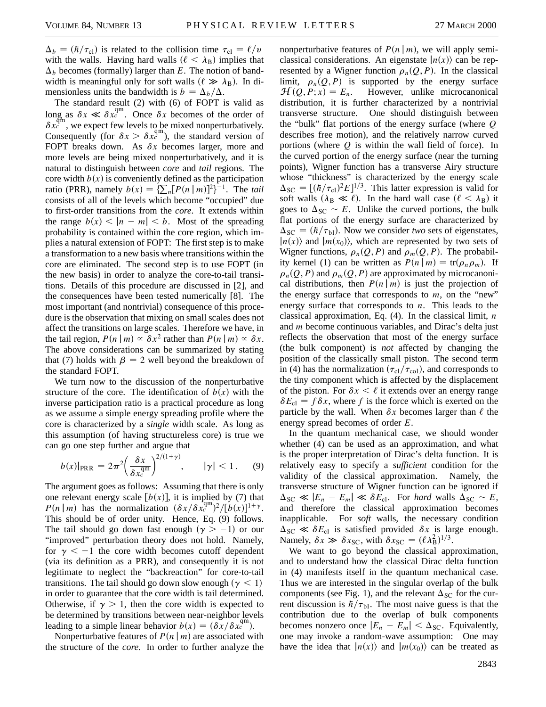$\Delta_b = (\hbar / \tau_{\text{cl}})$  is related to the collision time  $\tau_{\text{cl}} = \ell / \nu$ with the walls. Having hard walls ( $\ell < \lambda_B$ ) implies that  $\Delta_h$  becomes (formally) larger than *E*. The notion of bandwidth is meaningful only for soft walls ( $\ell \gg \lambda_B$ ). In dimensionless units the bandwidth is  $b = \Delta_b/\Delta$ .

The standard result (2) with (6) of FOPT is valid as long as  $\delta x \ll \delta x_c^{\text{qm}}$ . Once  $\delta x$  becomes of the order of  $\delta x_c^{\text{qm}}$ , we expect few levels to be mixed nonperturbatively. Consequently (for  $\delta x > \delta x_c^{\text{qm}}$ ), the standard version of FOPT breaks down. As  $\delta x$  becomes larger, more and more levels are being mixed nonperturbatively, and it is natural to distinguish between *core* and *tail* regions. The core width  $b(x)$  is conveniently defined as the participation ratio (PRR), namely  $b(x) = {\sum_{n} [P(n|m)]^{2}}^{-1}$ . The *tail* consists of all of the levels which become "occupied" due to first-order transitions from the *core*. It extends within the range  $b(x) < |n - m| < b$ . Most of the spreading probability is contained within the core region, which implies a natural extension of FOPT: The first step is to make a transformation to a new basis where transitions within the core are eliminated. The second step is to use FOPT (in the new basis) in order to analyze the core-to-tail transitions. Details of this procedure are discussed in [2], and the consequences have been tested numerically [8]. The most important (and nontrivial) consequence of this procedure is the observation that mixing on small scales does not affect the transitions on large scales. Therefore we have, in the tail region,  $P(n | m) \propto \delta x^2$  rather than  $P(n | m) \propto \delta x$ . The above considerations can be summarized by stating that (7) holds with  $\beta = 2$  well beyond the breakdown of the standard FOPT.

We turn now to the discussion of the nonperturbative structure of the core. The identification of  $b(x)$  with the inverse participation ratio is a practical procedure as long as we assume a simple energy spreading profile where the core is characterized by a *single* width scale. As long as this assumption (of having structureless core) is true we can go one step further and argue that

$$
b(x)|_{\text{PRR}} = 2\pi^2 \left(\frac{\delta x}{\delta x_c^{\text{qm}}}\right)^{2/(1+\gamma)}, \qquad |\gamma| < 1. \tag{9}
$$

The argument goes as follows: Assuming that there is only one relevant energy scale  $[b(x)]$ , it is implied by (7) that *P*(*n* | *m*) has the normalization  $(\delta x/\delta x_c^{\text{qm}})^2/[b(x)]^{1+\gamma}$ . This should be of order unity. Hence, Eq. (9) follows. The tail should go down fast enough  $(\gamma > -1)$  or our "improved" perturbation theory does not hold. Namely, for  $\gamma \leq -1$  the core width becomes cutoff dependent (via its definition as a PRR), and consequently it is not legitimate to neglect the "backreaction" for core-to-tail transitions. The tail should go down slow enough ( $\gamma < 1$ ) in order to guarantee that the core width is tail determined. Otherwise, if  $\gamma > 1$ , then the core width is expected to be determined by transitions between near-neighbor levels leading to a simple linear behavior  $b(x) = (\delta x / \delta x_c^{\text{qm}})$ .

Nonperturbative features of  $P(n | m)$  are associated with the structure of the *core*. In order to further analyze the

nonperturbative features of  $P(n | m)$ , we will apply semiclassical considerations. An eigenstate  $|n(x)\rangle$  can be represented by a Wigner function  $\rho_n(Q, P)$ . In the classical limit,  $\rho_n(Q, P)$  is supported by the energy surface  $\mathcal{H}(Q, P; x) = E_n.$  *En*. However, unlike microcanonical distribution, it is further characterized by a nontrivial transverse structure. One should distinguish between the "bulk" flat portions of the energy surface (where *Q* describes free motion), and the relatively narrow curved portions (where *Q* is within the wall field of force). In the curved portion of the energy surface (near the turning points), Wigner function has a transverse Airy structure whose "thickness" is characterized by the energy scale  $\Delta_{\rm SC} = \left[ (\hbar / \tau_{\rm cl})^2 E \right]^{1/3}$ . This latter expression is valid for soft walls ( $\lambda_B \ll \ell$ ). In the hard wall case ( $\ell < \lambda_B$ ) it goes to  $\Delta_{SC} \sim E$ . Unlike the curved portions, the bulk flat portions of the energy surface are characterized by  $\Delta_{\text{SC}} = (\hbar / \tau_{\text{bl}})$ . Now we consider *two* sets of eigenstates,  $|n(x)\rangle$  and  $|m(x_0)\rangle$ , which are represented by two sets of Wigner functions,  $\rho_n(Q, P)$  and  $\rho_m(Q, P)$ . The probability kernel (1) can be written as  $P(n | m) = tr(\rho_n \rho_m)$ . If  $\rho_n(Q, P)$  and  $\rho_m(Q, P)$  are approximated by microcanonical distributions, then  $P(n | m)$  is just the projection of the energy surface that corresponds to *m*, on the "new" energy surface that corresponds to *n*. This leads to the classical approximation, Eq. (4). In the classical limit, *n* and *m* become continuous variables, and Dirac's delta just reflects the observation that most of the energy surface (the bulk component) is *not* affected by changing the position of the classically small piston. The second term in (4) has the normalization  $(\tau_{\text{cl}}/\tau_{\text{col}})$ , and corresponds to the tiny component which is affected by the displacement of the piston. For  $\delta x < \ell$  it extends over an energy range  $\delta E_{\text{cl}} = f \delta x$ , where f is the force which is exerted on the particle by the wall. When  $\delta x$  becomes larger than  $\ell$  the energy spread becomes of order *E*.

In the quantum mechanical case, we should wonder whether (4) can be used as an approximation, and what is the proper interpretation of Dirac's delta function. It is relatively easy to specify a *sufficient* condition for the validity of the classical approximation. Namely, the transverse structure of Wigner function can be ignored if  $\Delta_{\rm SC} \ll |E_n - E_m| \ll \delta E_{\rm cl}$ . For *hard* walls  $\Delta_{\rm SC} \sim E$ , and therefore the classical approximation becomes inapplicable. For *soft* walls, the necessary condition  $\Delta_{SC} \ll \delta E_{cl}$  is satisfied provided  $\delta x$  is large enough. Namely,  $\delta x \gg \delta x_{\text{SC}}$ , with  $\delta x_{\text{SC}} = (\ell \lambda_{\text{B}}^2)^{1/3}$ .

We want to go beyond the classical approximation, and to understand how the classical Dirac delta function in (4) manifests itself in the quantum mechanical case. Thus we are interested in the singular overlap of the bulk components (see Fig. 1), and the relevant  $\Delta_{SC}$  for the current discussion is  $\hbar/\tau_{\text{bl}}$ . The most naive guess is that the contribution due to the overlap of bulk components becomes nonzero once  $|E_n - E_m| < \Delta_{SC}$ . Equivalently, one may invoke a random-wave assumption: One may have the idea that  $|n(x)\rangle$  and  $|m(x_0)\rangle$  can be treated as